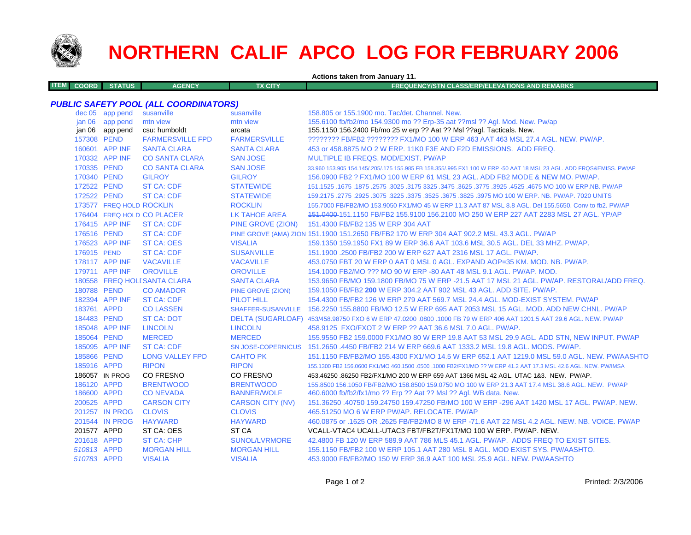

**ITEM**

## **NORTHERN CALIF APCO LOG FOR FEBRUARY 2006**

**Actions taken from January 11.**

**COORD STATUS AGENCY TX CITY FREQUENCY/STN CLASS/ERP/ELEVATIONS AND REMARKS**

## *PUBLIC SAFETY POOL (ALL COORDINATORS)*

|             | dec 05 app pend          | susanville                   | susanville              | 158,805 or 155,1900 mo. Tac/det, Channel, New.                                                                      |
|-------------|--------------------------|------------------------------|-------------------------|---------------------------------------------------------------------------------------------------------------------|
|             | jan 06 app pend          | mtn view                     | mtn view                | 155.6100 fb/fb2/mo 154.9300 mo ?? Erp-35 aat ??msl ?? Agl. Mod. New. Pw/ap                                          |
|             | jan 06 app pend          | csu: humboldt                | arcata                  | 155.1150 156.2400 Fb/mo 25 w erp ?? Aat ?? Msl ??agl. Tacticals. New.                                               |
| 157308 PEND |                          | <b>FARMERSVILLE FPD</b>      | <b>FARMERSVILLE</b>     | ???????? FB/FB2 ???????? FX1/MO 100 W ERP 463 AAT 463 MSL 27.4 AGL, NEW, PW/AP,                                     |
|             | 160601 APP INF           | <b>SANTA CLARA</b>           | <b>SANTA CLARA</b>      | 453 or 458,8875 MO 2 W ERP, 11K0 F3E AND F2D EMISSIONS. ADD FREQ.                                                   |
|             | 170332 APP INF           | <b>CO SANTA CLARA</b>        | <b>SAN JOSE</b>         | MULTIPLE IB FREQS, MOD/EXIST, PW/AP                                                                                 |
| 170335 PEND |                          | <b>CO SANTA CLARA</b>        | <b>SAN JOSE</b>         | 33.960 153.905 154.145/.205/.175 155.985 FB 158.355/.995 FX1 100 W ERP -50 AAT 18 MSL 23 AGL. ADD FRQS&EMISS. PW/AP |
| 170340 PEND |                          | <b>GILROY</b>                | <b>GILROY</b>           | 156.0900 FB2 ? FX1/MO 100 W ERP 61 MSL 23 AGL. ADD FB2 MODE & NEW MO. PW/AP.                                        |
| 172522 PEND |                          | <b>ST CA: CDF</b>            | <b>STATEWIDE</b>        | 151.1525 .1675 NO 100 W ERP.NB. PW/AP .3175 3325 .3475 .3625 .3775 3325 .4675 .3025 .1675 .1675 .167                |
| 172522 PEND |                          | <b>ST CA: CDF</b>            | <b>STATEWIDE</b>        | 159,2175, 2775 .2925 .3075 .3225 .3375 .3525 .3675 .3825 .3975 MO 100 W ERP, NB, PW/AP, 7020 UNITS                  |
|             | 173577 FREQ HOLD ROCKLIN |                              | <b>ROCKLIN</b>          | 155.7000 FB/FB2/MO 153.9050 FX1/MO 45 W ERP 11.3 AAT 87 MSL 8.8 AGL. Del 155.5650. Conv to fb2. PW/AP               |
|             |                          | 176404 FREQ HOLD CO PLACER   | <b>LK TAHOE AREA</b>    | 151.0400-151.1150 FB/FB2 155.9100 156.2100 MO 250 W ERP 227 AAT 2283 MSL 27 AGL. YP/AP                              |
|             | 176415 APP INF           | <b>ST CA: CDF</b>            | PINE GROVE (ZION)       | 151,4300 FB/FB2 135 W ERP 304 AAT                                                                                   |
| 176516 PEND |                          | <b>ST CA: CDF</b>            |                         | PINE GROVE (AMA) ZION 151.1900 151.2650 FB/FB2 170 W ERP 304 AAT 902.2 MSL 43.3 AGL. PW/AP                          |
|             | 176523 APP INF           | <b>ST CA: OES</b>            | <b>VISALIA</b>          | 159.1350 159.1950 FX1 89 W ERP 36.6 AAT 103.6 MSL 30.5 AGL, DEL 33 MHZ, PW/AP.                                      |
| 176915 PEND |                          | <b>ST CA: CDF</b>            | <b>SUSANVILLE</b>       | 151.1900 .2500 FB/FB2 200 W ERP 627 AAT 2316 MSL 17 AGL, PW/AP.                                                     |
|             | 178117 APP INF           | <b>VACAVILLE</b>             | <b>VACAVILLE</b>        | 453.0750 FBT 20 W ERP 0 AAT 0 MSL 0 AGL. EXPAND AOP=35 KM, MOD, NB, PW/AP.                                          |
|             | 179711 APP INF           | <b>OROVILLE</b>              | <b>OROVILLE</b>         | 154,1000 FB2/MO ??? MO 90 W ERP -80 AAT 48 MSL 9.1 AGL, PW/AP, MOD.                                                 |
|             |                          | 180558 FREQ HOLI SANTA CLARA | <b>SANTA CLARA</b>      | 153.9650 FB/MO 159.1800 FB/MO 75 W ERP -21.5 AAT 17 MSL 21 AGL, PW/AP, RESTORAL/ADD FREQ.                           |
| 180788 PEND |                          | <b>CO AMADOR</b>             | PINE GROVE (ZION)       | 159.1050 FB/FB2 200 W ERP 304.2 AAT 902 MSL 43 AGL, ADD SITE, PW/AP.                                                |
|             | 182394 APP INF           | <b>ST CA: CDF</b>            | <b>PILOT HILL</b>       | 154.4300 FB/FB2 126 W ERP 279 AAT 569.7 MSL 24.4 AGL, MOD-EXIST SYSTEM, PW/AP                                       |
| 183761 APPD |                          | <b>CO LASSEN</b>             |                         | SHAFFER-SUSANVILLE 156.2250 155.8800 FB/MO 12.5 W ERP 695 AAT 2053 MSL 15 AGL, MOD, ADD NEW CHNL, PW/AP             |
| 184483 PEND |                          | <b>ST CA: DOT</b>            |                         | DELTA (SUGARLOAF) 453/458.98750 FXO 6 W ERP 47.0200 .0800 .1000 FB 79 W ERP 406 AAT 1201.5 AAT 29.6 AGL. NEW. PW/AP |
|             | 185048 APP INF           | <b>LINCOLN</b>               | <b>LINCOLN</b>          | 458.9125 FXO/FXOT 2 W ERP ?? AAT 36.6 MSL 7.0 AGL. PW/AP.                                                           |
| 185064 PEND |                          | <b>MERCED</b>                | <b>MERCED</b>           | 155.9550 FB2 159.0000 FX1/MO 80 W ERP 19.8 AAT 53 MSL 29.9 AGL. ADD STN, NEW INPUT. PW/AP                           |
|             | 185095 APP INF           | <b>ST CA: CDF</b>            |                         | SN JOSE-COPERNICUS 151,2650,4450 FB/FB2 214 W ERP 669.6 AAT 1333.2 MSL 19.8 AGL, MODS, PW/AP.                       |
| 185866 PEND |                          | <b>LONG VALLEY FPD</b>       | <b>CAHTO PK</b>         | 151.1150 FB/FB2/MO 155.4300 FX1/MO 14.5 W ERP 652.1 AAT 1219.0 MSL 59.0 AGL, NEW, PW/AASHTO                         |
| 185916 APPD |                          | <b>RIPON</b>                 | <b>RIPON</b>            | 155,1300 FB2 156,0600 FX1/MO 460,1500 ,0500 ,1000 FB2/FX1/MO ?? W ERP 41.2 AAT 17.3 MSL 42.6 AGL, NEW, PW/IMSA      |
|             | 186057 IN PROG           | <b>CO FRESNO</b>             | CO FRESNO               | 453.46250 .86250 FB2/FX1/MO 200 W ERP 659 AAT 1366 MSL 42 AGL, UTAC 1&3, NEW, PW/AP,                                |
| 186120 APPD |                          | <b>BRENTWOOD</b>             | <b>BRENTWOOD</b>        | 155.8500 156.1050 FB/FB2/MO 158.8500 159.0750 MO 100 W ERP 21.3 AAT 17.4 MSL 38.6 AGL, NEW. PW/AP                   |
| 186600 APPD |                          | <b>CONEVADA</b>              | <b>BANNER/WOLF</b>      | 460.6000 fb/fb2/fx1/mo ?? Erp ?? Aat ?? Msl ?? Agl. WB data. New.                                                   |
| 200525 APPD |                          | <b>CARSON CITY</b>           | <b>CARSON CITY (NV)</b> | 151.36250 .40750 159.24750 159.47250 FB/MO 100 W ERP -296 AAT 1420 MSL 17 AGL, PW/AP, NEW.                          |
|             | 201257 IN PROG           | <b>CLOVIS</b>                | <b>CLOVIS</b>           | 465.51250 MO 6 W ERP PW/AP, RELOCATE, PW/AP                                                                         |
|             | 201544 IN PROG           | <b>HAYWARD</b>               | <b>HAYWARD</b>          | 460.0875 or .1625 OR .2625 FB/FB2/MO 8 W ERP -71.6 AAT 22 MSL 4.2 AGL, NEW, NB, VOICE, PW/AP                        |
| 201577 APPD |                          | ST CA: OES                   | ST <sub>CA</sub>        | VCALL-VTAC4 UCALL-UTAC3 FBT/FB2T/FX1T/MO 100 W ERP. PW/AP. NEW.                                                     |
| 201618 APPD |                          | <b>ST CA: CHP</b>            | <b>SUNOL/LVRMORE</b>    | 42.4800 FB 120 W ERP 589.9 AAT 786 MLS 45.1 AGL, PW/AP, ADDS FREQ TO EXIST SITES.                                   |
| 510813 APPD |                          | <b>MORGAN HILL</b>           | <b>MORGAN HILL</b>      | 155,1150 FB/FB2 100 W ERP 105,1 AAT 280 MSL 8 AGL, MOD EXIST SYS, PW/AASHTO.                                        |
| 510783 APPD |                          | <b>VISALIA</b>               | <b>VISALIA</b>          | 453,9000 FB/FB2/MO 150 W ERP 36.9 AAT 100 MSL 25.9 AGL, NEW, PW/AASHTO                                              |